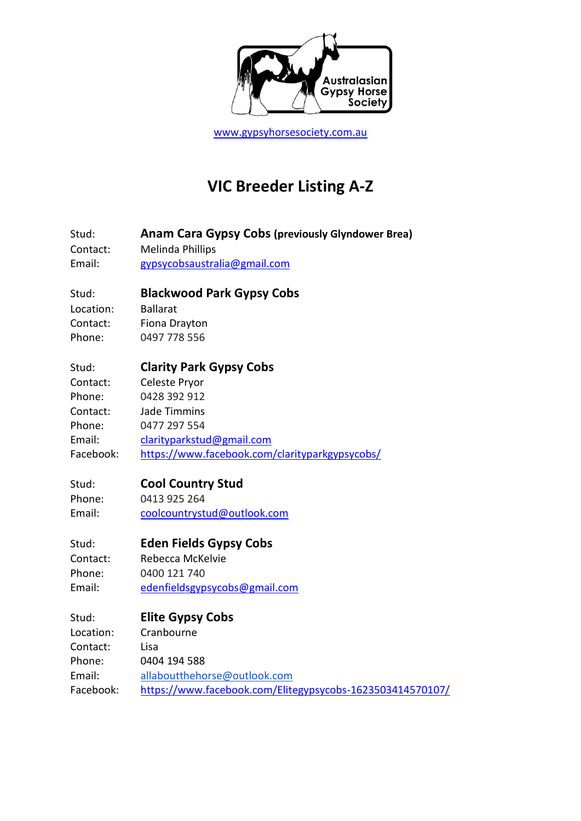

[www.gypsyhorsesociety.com.au](http://www.gypsyhorsesociety.com.au/)

# **VIC Breeder Listing A-Z**

Stud: **Anam Cara Gypsy Cobs (previously Glyndower Brea)**

Contact: Melinda Phillips

Email: [gypsycobsaustralia@gmail.com](mailto:gypsycobsaustralia@gmail.com)

### Stud: **Blackwood Park Gypsy Cobs**

Location: Ballarat Contact: Fiona Drayton Phone: 0497 778 556

## Stud: **Clarity Park Gypsy Cobs**

Contact: Celeste Pryor Phone: 0428 392 912 Contact: Jade Timmins Phone: 0477 297 554 Email: [clarityparkstud@gmail.com](mailto:clarityparkstud@gmail.com) Facebook: <https://www.facebook.com/clarityparkgypsycobs/>

## Stud: **Cool Country Stud**

Phone: 0413 925 264 Email: [coolcountrystud@outlook.com](mailto:coolcountrystud@outlook.com)

### Stud: **Eden Fields Gypsy Cobs**

Contact: Rebecca McKelvie Phone: 0400 121 740 Email: [edenfieldsgypsycobs@gmail.com](mailto:edenfieldsgypsycobs@gmail.com)

## Stud: **Elite Gypsy Cobs**

Location: Cranbourne Contact: Lisa Phone: 0404 194 588 Email: [allaboutthehorse@outlook.com](mailto:allaboutthehorse@outlook.com) Facebook: <https://www.facebook.com/Elitegypsycobs-1623503414570107/>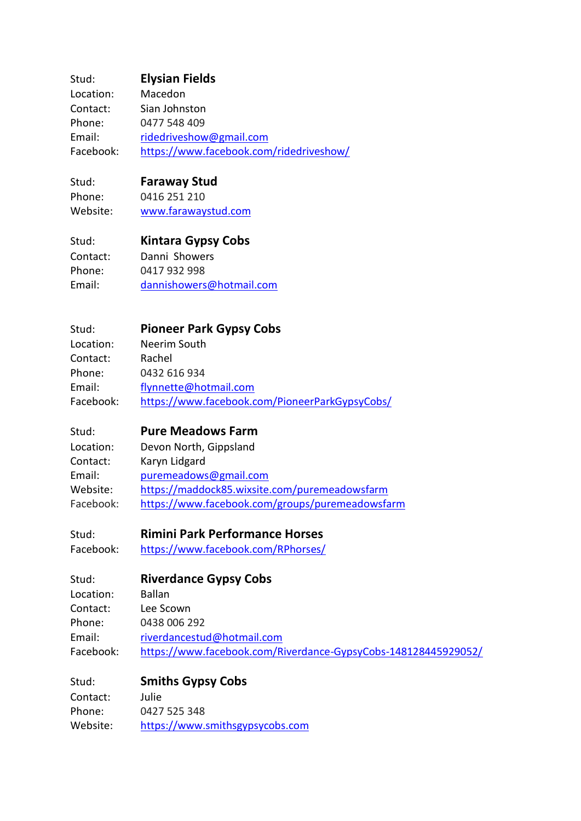### Stud: **Elysian Fields**

| Location: | Macedon                                 |
|-----------|-----------------------------------------|
| Contact:  | Sian Johnston                           |
| Phone:    | 0477 548 409                            |
| Email:    | ridedriveshow@gmail.com                 |
| Facebook: | https://www.facebook.com/ridedriveshow/ |

#### Stud: **Faraway Stud**

Phone: 0416 251 210 Website: [www.farawaystud.com](http://www.farawaystud.com/)

#### Stud: **Kintara Gypsy Cobs**

Contact: Danni Showers Phone: 0417 932 998 Email: [dannishowers@hotmail.com](mailto:dannishowers@hotmail.com)

#### Stud: **Pioneer Park Gypsy Cobs** Location: Neerim South Contact: Rachel Phone: 0432 616 934 Email: [flynnette@hotmail.com](mailto:flynnette@hotmail.com)

Facebook: <https://www.facebook.com/PioneerParkGypsyCobs/>

#### Stud: **Pure Meadows Farm**

| Location: | Devon North, Gippsland                          |
|-----------|-------------------------------------------------|
| Contact:  | Karyn Lidgard                                   |
| Email:    | puremeadows@gmail.com                           |
| Website:  | https://maddock85.wixsite.com/puremeadowsfarm   |
| Facebook: | https://www.facebook.com/groups/puremeadowsfarm |

### Stud: **Rimini Park Performance Horses**

Facebook: <https://www.facebook.com/RPhorses/>

## Stud: **Riverdance Gypsy Cobs** Location: Ballan Contact: Lee Scown Phone: 0438 006 292 Email: [riverdancestud@hotmail.com](mailto:riverdancestud@hotmail.com) Facebook: <https://www.facebook.com/Riverdance-GypsyCobs-148128445929052/>

#### Stud: **Smiths Gypsy Cobs** Contact: Julie

Phone: 0427 525 348 Website: [https://www.smithsgypsycobs.com](https://www.smithsgypsycobs.com/)